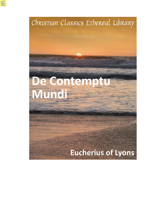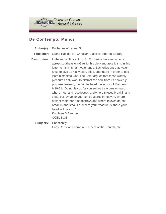

## **De Contemptu Mundi**

- **Author(s):** Eucherius of Lyons, St. **Publisher:** Grand Rapids, MI: Christian Classics Ethereal Library **Description:** In the early fifth century, St. Eucherius became famous across southeastern Gaul for his piety and asceticism. In this letter to his kinsman, Valerianus, Eucherius entreats Valerianus to give up his wealth, titles, and future in order to dedicate himself to God. The Saint argues that these worldly pleasures only work to distract the soul from its heavenly purpose. Instead, the faithful heed the words of Matthew 6:19-21: "Do not lay up for yourselves treasures on earth, where moth and rust destroy and where thieves break in and steal, but lay up for yourself treasures in heaven, where neither moth nor rust destroys and where thieves do not break in and steal. For where your treasure is, there your heart will be also." Kathleen O'Bannon CCEL Staff
	- **Subjects:** Christianity Early Christian Literature. Fathers of the Church, etc.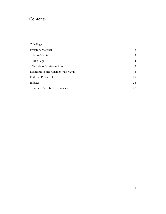# Contents

| Title Page                          |                |
|-------------------------------------|----------------|
| Prefatory Material                  | 2              |
| Editor's Note                       | 3              |
| Title Page                          | $\overline{4}$ |
| Translator's Introduction           | 5              |
| Eucherius to His Kinsmen Valerianus | 6              |
| <b>Editorial Postscript</b>         | 25             |
| Indexes                             | 26             |
| Index of Scripture References       | 27             |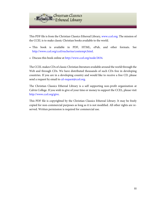

This PDF file is from the Christian Classics Ethereal Library, [www.ccel.org.](http://www.ccel.org) The mission of the CCEL is to make classic Christian books available to the world.

- This book is available in PDF, HTML, ePub, and other formats. See [http://www.ccel.org/ccel/eucherius/contempt.html.](http://www.ccel.org/ccel/eucherius/contempt.html)
- Discuss this book online at [http://www.ccel.org/node/2834.](http://www.ccel.org/node/2834)

The CCEL makes CDs of classic Christian literature available around the world through the Web and through CDs. We have distributed thousands of such CDs free in developing countries. If you are in a developing country and would like to receive a free CD, please send a request by email to [cd-request@ccel.org.](mailto:cd-request@ccel.org)

The Christian Classics Ethereal Library is a self supporting non-profit organization at Calvin College. If you wish to give of your time or money to support the CCEL, please visit [http://www.ccel.org/give.](http://www.ccel.org/give)

This PDF file is copyrighted by the Christian Classics Ethereal Library. It may be freely copied for non-commercial purposes as long as it is not modified. All other rights are reserved. Written permission is required for commercial use.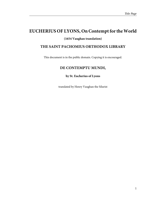## <span id="page-4-0"></span>**EUCHERIUS OF LYONS, On Contempt for the World**

### **(1654 Vaughan translation)**

## **THE SAINT PACHOMIUS ORTHODOX LIBRARY**

This document is in the public domain. Copying it is encouraged.

## **DE CONTEMPTU MUNDI,**

### **by St. Eucherius of Lyons**

translated by Henry Vaughan the Silurist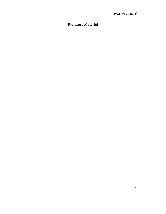# <span id="page-5-0"></span>**Prefatory Material**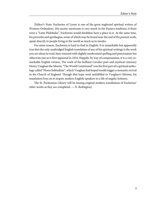<span id="page-6-0"></span>[Editor's Note: Eucherius of Lyons is one of the great neglected spiritual writers of Western Orthodoxy. His ascetic mysticism is very much in the Eastern tradition; if there were a "Latin Philokalia", Eucherius would doubtless have a place in it. At the same time, his proverbs and apothegms, some of which may be found near the end of the present work, speak directly to people living in the world as much as to monks.

For some reason, Eucherius is hard to find in English. It is remarkable but apparently true that the only unabridged English translation of any of his spiritual writings is the work you are about to read, here reissued with slightly modernized spelling and punctuation but otherwise just as it first appeared in 1654. Happily, by way of compensation, it is a very remarkable English version. The work of the brilliant Cavalier poet and mystical visionary Henry Vaughan the Silurist, "The World Contemned" was the first part of a spiritual anthology called "Flores Solitudinis", which Vaughan had hoped would trigger a monastic revival in the Church of England. Though that hope went unfulfilled in Vaughan's lifetime, his translation lives on to inspire modern English-speakers to a life of angelic holiness.

The St. Pachomius Library will be issuing original modern translations of Eucherius' other works as they are completed. — N. Redington]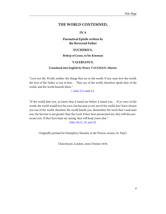### <span id="page-7-0"></span>**THE WORLD CONTEMNED,**

**IN A**

### **Parenetical Epistle written by the Reverend Father**

#### **EUCHERIUS,**

#### **Bishop of Lyons, to his Kinsman**

#### **VALERIANUS.**

#### **Translated into English by Henry VAUGHAN, Silurist.**

<span id="page-7-2"></span>"Love not the World, neither the things that are in the world. If any man love the world, the love of the Father is not in him. . . They are of the world, therefore speak they of the world, and the world heareth them."

[1 John 2:15](http://www.ccel.org/study/Bible:1John.2.15) and [4:5.](http://www.ccel.org/study/Bible:1John.4.5)

<span id="page-7-1"></span>"If the world hate you, ye know that it hated me before it hated you. . . If ye were of the world, the world would love his own, but because ye are not of the world, but I have chosen you out of the world, therefore the world hateth you. Remember the word that I said unto you, the Servant is not greater than the Lord: if they have persecuted me, they will also persecute you. If they have kept my saying, they will keep yours also."

[John 18:15, 19, and 20.](http://www.ccel.org/study/Bible:John.18.15 Bible:John.18.19 Bible:John.18.20)

Originally printed for Humphrey Moseley at the Princes Armes, St. Paul's

Churchyard, London, anno Domini 1654.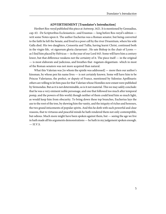#### **ADVERTISEMENT [Translator's Introduction]**

<span id="page-8-0"></span>Heribert Ros-weyd published this piece at Antwerp, 1621. It is mentioned by Gennadius, cap. 63. -De Scriptoribus Ecclesiasticis-; and Erasmus — long before Ros-weyd's edition writ some Notes upon it. The author Eucherius was a Roman senator, but being converted to the faith he left the Senate, and lived in a poor cell by the river Druentium, where his wife Galla died. His two daughters, Consortia and Tullia, having learnt Christ, continued both in the virgin-life, -et signorum gloria claruerunt-. He sate Bishop in the chair of Lyons as I find him placed by Helvicus — in the year of our Lord 443. Some will have him a century lower, but that difference weakens not the certainty of it. The piece itself — in the original — is most elaborate and judicious, and breathes that -togatam elegantiam- which in most of the Roman senators was not more acquired than natural.

What this Valerian was [to whom the epistle was addressed] — more then our author's kinsman, by whose pen his name lives — is not certainly known. Some will have him to be Priscus Valerianus, the prefect, or deputy of France, mentioned by Sidonius Apollinaris: others are willing to let him pass for that Valerian whose Homilies now extant were published by Sirmondus. But as it is not determinable, so is it not material. This we may safely conclude: that he was a very eminent noble personage, and one that followed too much after temporal pomp, and the powers of this world; though neither of them could lend him so much light, as would keep him from obscurity. To bring down these top branches, Eucherius lays the axe to the root of the tree, by shewing him the vanity, and the iniquity of riches and honours, the two grand inticements of popular spirits. And this he doth with such powerful and clear reasons, that to virtuous and peaceful minds he hath rendered them not only contemptible, but odious. Much more might have been spoken against them, but — seeing the age we live in hath made all his arguments demonstrations — he hath in my judgement spoken enough. — H.V.S.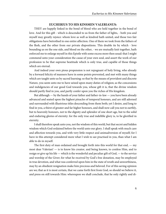#### **EUCHERIUS TO HIS KINSMEN VALERIANUS:**

<span id="page-9-0"></span>THEY are happily linked in the bond of blood who are held together in the bond of love. And for this gift - which is descended to us from the father of lights, - both you and myself may greatly rejoice: whom love as well as kindred hath united, and those two fair obligations have betrothed in one entire affection. One of them we took from the fathers of the flesh, and the other from our private dispositions. This double tie by which - love bounding us on the one side, and blood on the other, - we are mutually knit together, hath enforced me to enlarge myself in this Epistle with some excess more then usual: that I might commend unto your consideration the cause of your own soul, and assert the work of our profession to be that supreme beatitude which is only true, and capable of those things which are eternal.

And indeed your own pious propension is not repugnant of holy living, who already by a forward felicity of manners have in some points prevented, and met with many things which are taught unto us by sacred learning: so that by the means of provident and discrete Nature, you seem unto me to have seized upon many duties of religion; as the concessions and indulgencies of our good God towards you, whose gift it is, that the divine wisdom should partly find in you, and partly confer upon you the riches of His kingdom.

But although — by the hands of your father and father-in-law — you have been already advanced and seated upon the highest pinacles of temporal honours, and are still adorned and surrounded with illustrious titles descending from them both; yet I desire, and long to find in you, a thirst of greater and far higher honours, and shall now call you not to earthly, but to heavenly honours, not to the dignity and splendor of one short age, but to the solid and enduring glories of eternity: for the only true and indelible glory is, to be glorified in eternity.

I shall therefore speak unto you, not the wisdom of this world, but that secret and hidden wisdom which God ordained before the world unto our glory. I shall speak with much care and affection towards you, and with very little respect and animadversion of myself; for I have in this attempt considered more what I wish to see practised in you, than what I am able to do in myself.

The first duty of man ordained and brought forth into this world for that end,  $-$  my most dear Valerian! — is to know his creator, and being known, to confess Him, and to resign or give up his life — which is the wonderful and peculiar gift of God, — to the service and worship of the Giver; for what he received by God's free donation, may be employed in true devotion, and what was conferred upon him in the state of wrath and unworthiness, may by an obedient resignation make him precious and beloved. For of this saving opinion are we; that as it is most certain, that we came forth first from God, so should we believe it, and press on still towards Him: whereupon we shall conclude, that he only rightly and di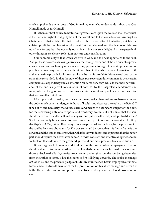vinely apprehends the purpose of God in making man who understands it thus, that God Himself made us for Himself.

It is then our best course to bestow our greatest care upon the soul; so shall that which is the first and highest in dignity be not the lowest and last in consideration. Amongst us Christians, let that which is the first in order be the first cared for; let salvation, which is the chiefest profit, be our chiefest employment. Let the safeguard and the defense of this take up all our forces; let it be not only our chiefest, but our sole delight. As it surpasseth all other things in excellency, so let it in our care and consideration.

Our supreme duty is that which we owe to God, and the next appertains to the soul. And yet these two are such loving correlates, that though every one of the is a duty of supreme consequence, and such as by no means we may presume to neglect or omit, yet cannot we possibly perform any one of them without the other. So that whosoever will serve God doth at the same time provide for his own soul; and he that is careful for his own soul doth at the same time serve God. So that the state of these two sovereign duties in man, is by a certain compendious dependency and co-intention rendered very easy, while the faithful performance of the one is a perfect consumation of both: for by the unspeakable tenderness and mercy of God, the good we do to our own souls is the most acceptable service and sacrifice that we can offer unto Him.

Much physical curiosity, much care and many strict observations are bestowed upon the body; much pain it undergoes in hope of health; and deserves the soul no medicine? If it be but fit and necessary, that diverse helps and means of healing are sought for the body, for the recovering only of a temporal and transitory health, is it not unjust that the soul should be excluded, and be suffered to languish and putrify with deadly and spiritual diseases? Shall the soul only be a stranger to those proper and precious remedies ordained for it by the Physician? Yea, rather, if so many things are provided for the body, let the provision for the soul be far more abundant: for if it was truly said by some, that this fleshy frame is the servant, and the soul the mistress, then will it be very undecent and injurious, that the better part should require the better attendance? For with constant and intentive diligence should we look on that side where the greater dignity and our most precious treasure is laid up.

It is not agreeable to reason, and it takes from the honour of our employment, that we should subject it to the unworthier party. The flesh being always inclined to viciousness draws us back to the Earth, as to its proper center and original: but the soul being descended from the Father of lights, is like the sparks of fire still flying upwards. The soul is the image of God in us, and the precious pledge of his future munificence. Let us employ all our innate forces and all outwards auxiliaries for the preservation of this: if we manage and defend it faithfully, we take care for and protect the entrusted pledge and purchased possession of God.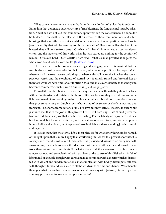What convenience can we have to build, unless we do first of all lay the foundation? But to him that designed a superstructure of true blessings, the fundamental must be salvation. And if he hath not laid that foundation, upon what can the consequences he hopes for be builded? How shall he be filled with the increase of those remunerations and afterblessings, that wants the first-fruits, and denies the rewarder? What portion can he have in joys of eternity that will be wanting to his own salvation? How can he live the life of the blessed, that will not rise from death? Or what will it benefit him to heap up temporal provision, and the materials of this world, when he hath stored up nothing for the comfort of his soul? Or as our Lord JESUS CHRIST hath said, "What is a man profited, if he gains the whole world, and lose his own soul?" [[Matthew 16:26](http://www.ccel.org/study/Bible:Matt.16.26)]

<span id="page-11-0"></span>There can therefore be no cause for sparing and laying up, where it is manifest that the soul is already lost; where salvation is forfeited, what gain or profit can he hope for? Or wherein shall the true treasure be laid up, or wherewith shall he receive it, when the soule's precious vessel, and the storehouse of eternal joys, is utterly ruined and broken? Let us therefore while we have time labour for true riches, and make earnest haste to that holy and heavenly commerce, which is worth our looking and longing after.

Eternal life may be obtained in a very few days: which days, though they should be blest with an inoffensive and untainted holiness of life, yet because they are but few are to be lightly esteem'd of: for nothing can be rich in value, which is but short in duration: nor can that procure any long or durable joys, whose time of existence or abode is narrow and transient. The short accomodations of this life have but short effects. It seems therefore but just unto me, that to the joys of this present life,  $-$  if it hath any  $-$  we should prefer the true and indubitable joys of that which is everlasting. For the felicity we enjoy here is at best but temporal, but the other is eternal; and the fruition of a transitory, uncertain happiness is but a frailty and accident; but the possession of inviolable and never ending joys is triumph and security.

It is clear then, that the eternal life is most blessed; for what other thing can be named, or thought upon, that is more happy than everlasting life? As for this present short life, it is so very short, that it is withal most miserable. It is pressed and assaulted on every side with surrounding, inevitable sorrows; it is distressed with many evil defects, and tossed to and fro with secret and penal accidents. For what is there in all the whole world that is so uncertain, so various, and so replenished with troubles, as the course of this life? which is full of labour, full of anguish, fraught with cares, and made ominous with dangers; which is distracted with violent and sudden mutations, made unpleasant with bodily distempers, afflicted with thoughtfulness, and lies naked to all the whirlwinds of time and chance? What benefit then, yea, what reason have you to turn aside and run away with  $[= from]$  eternal joys, that you may pursue and follow after temporal miseries!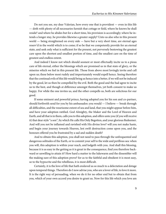Do not you see, my dear Valerian, how every one that is provident — even in this life — doth with plenty of all necessaries furnish that cottage or field, where he knows he shall reside? and where he abides but for a short time, his provision is accordingly; where he intends a longer stay, he provides likewise a greater supply? Unto us also who in this present world — being straightened on every side — have but a very short time, are eternal ages reserv'd in the world which is to come; if so be that we competently provide for an eternal state, and seek only what is sufficient for the present, not perversely bestowing the greatest care upon the shortest and smallest portion of time, and the smallest care on the time of greatest and endless extent.

And indeed I know not which should soonest or most effectually incite us to a pious care of life eternal, either the blessings which are promised us in that state of glory, or the miseries which we feel in this present life. Those from above most lovingly invite and call upon us; these below most rudely and importunately would expell hence. Seeing therefore that the continual evils of this life would bring us hence into a better, if we will not be induced by the good, let us then be compelled by the evil. Both the good and the bad agree to incite us to the best, and though at difference amongst themselves, yet both consent to make us happy. For while the one invites us, and the other compells us, both are solicitous for our good.

If some eminent and powerful prince, having adopted you for his son and co-partner, should forthwith send for you by his ambassador; you would — I believe — break through all difficulties, and the wearisome extent of sea and land, that you might appear before him, and have your adoption ratified. God Almighty, the Maker and the Lord of Heaven and Earth, and all that is in them, calls you to this adoption, and offers unto you (if you will receive it) that dear style "a son", by which He calls His Only Begotten, and your glorious Redeemer. And will you not be inflamed and ravished with His divine love? will you not make haste, and begin your journey towards Heaven, lest swift destruction come upon you, and the honours offered you be frustrated by a sad and sudden death?

And to obtain this adoption, you shall not need to pass through the unfrequented and dangerous solitudes of the Earth, or to commit your self to the wide and perillous sea: when you will, this adoption is within your reach, and lodgeth with you. And shall this blessing, because it is as easy in the getting as it is great in the consequence, find you therefore backward or unwilling to attain it? How hard a matter to the lukewarm and the dissembler will the making sure of this adoption prove? for as to the faithful and obedient it is most easy, so to the hypocrite and the rebellious, it is most difficult.

Certainly, it is the love of life that hath enslaved us so much to a delectation and dotage upon temporal things. Therefore do I now advise you, who are a lover of life, to love it more. It is the right way of persuading, when we do it for no other end but to obtain that from you, which of your own accord you desire to grant us. Now for this life which you love am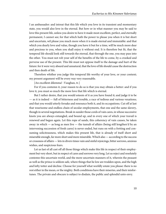I an ambassador: and intreat that this life which you love in its transient and momentary state, you would also love in the eternal. But how or in what manner you may be said to love this present life, unless you desire to have it made most excellent, perfect, and eternally permanent, I cannot see; for that which hath the power to please you when it is but short and uncertain, wil please you much more when it is made eternal and immutable: and that which you dearly love and value, though you have it but for a time, will be much more dear and precious to you, when you shall enjoy it without end. It is therefore but fit, that the temporal life should look still towards the eternal, that through the one, you may pass into the other. You must not rob your self of the benefits of the life to come, by a crooked and perverse use of the present. This life must not oppose itself to the damage and hurt of the future: for it were very absurd and unnatural, that the love of life should cause the destruction and then death of life.

Therefore whither you judge this temporal life worthy of your love, or your content; my present argument will be every way very reasonable.

[An excellent dilemma! -Vaughan, tr.]

For if you contemn it, your reason to do so is that you may obtain a better: and if you love it, you must so much the more love that life which is eternal.

But I rather desire, that you would esteem of it as you have found it; and judge it to be — as it is indeed — full of bitterness and trouble, a race of tedious and various vexations; and that you would utterly forsake and renounce both it, and its occupations. Cut off at last that wearisome and endless chain of secular employments, that one and the same slavery, though in several negotiations. Break in sunder those cords of vain cares, in whose successive knots you are always entangled, and bound up, and in every one of which your travail is renewed and begun again. Let this rope of sands, this coherency of vain causes, be taken away: in which — as long as men live — the tumult of affairs (being still lengthen'd by an intervening succession of fresh cares) is never ended, but runs on with a fretting and consuming solicitousness, which makes this present life, that is already of itself short and miserable enough, far more short and more miserable. Which also — according to the success or crossness of affairs — lets in divers times vain and sinful rejoicings, bitter sorrows, anxious wishes, and suspicious fears.

Let us last of all cast off all those things which make this life in respect of their employment but very short, but in respect of cares and sorrows very long. Let us reject and resolutely contemn this uncertain world, and the more uncertain manners of it, wherein the peasant as well as the prince is seldom safe, where things that lie low are trodden upon, and the high and lofty totter and decline. Choose for yourself what worldly estate you please: there is no rest either in the mean, or the mighty. Both conditions have their miseries, and their misfortunes. The private and obscure is subject to disdain, the public and splendid unto envy.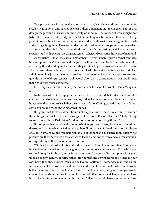Two prime things I suppose there are, which strongly enchain and keep men bound in secular negotiations; and having bewitch'd their understanding, retain them still in that dotage; the pleasure of riches and the dignity of honours. The former of which ought not to be called pleasure, but poverty; and the latter is not dignity, but vanity. These two — being join'd in one subtile league — set upon man, and with alternate, ensnaring knots disturb and entangle his goings. These — besides the vain desires which are peculiar to themselves — infuse into the mind of man other deadly and pestiferous lustings, which are their consequents; and with a certain pleasing enticement solicit and overcome the hearts of mankind.

As for riches — that I may speak first of them — what is there, I pray, or what can there be more pernicious? They are seldom gotten without injustice; by such an administrator are they gathered, and by such a steward they must be kept; for covetousness is the root of all evils. And there is indeed a very great familiarity betwixt these two, riches and vices [-divitiae et vitia-] in their names, as well as in their nature. And are they not also very frequently matter of disgrace, and an evil report? Upon which consideration it was said by one, that riches were tokens of injuries.

[— Every rich man is either a tyrant himself, or the son of a tyrant. -Henry Vaughan,  $tr. - 1$ 

In the possession of corrupt persons they publish to the world their bribery and unrighteousness, and elsewhere, they allure the eyes, and incite the spirits of seditious men to rebellion, and in the custody of such they bear witness of the sufferings, and the murther of innocent persons, and the plundering of their goods.

But grant that these disasters should not happen, can we have any certainty, whither these things that make themselves wings, will fly away after our decease? "He layeth up treasure" — saith the Psalmist — "and knoweth not for whom he gathers it."

But suppose that you should have an heir after your own heart, doth he not oftentimes destroy and scatter what the father hath gathered? doth not an ill-bred son, or our ill choice of a son-in-law, prove the frequent ruin of all our labours and substance in this life? What pleasure can there be in such riches, whose collection is sin and sorrow, and our transmission, or bequeathing of them, anxious and uncertain?

Whither then at last will this wild and devious affection of men carry them? You know how to love accidental and external goods, but cannot love your own self. That which you so much long for is abroad, and without you; you place your affection upon a foreigner, upon an enemy. Return, or retire rather into yourself, and be you dearer and nearer to your own heart then those things which you call yours. Certainly if some wise man, and skilful in the affairs of this world, should converse and come to be intimate with you, it would better please you, that he should affect your person, than affect your goods; and you would choose, that he should rather love you for your self, than for your riches; you would have him to be faithful unto man, not to his money. What you would have another to perform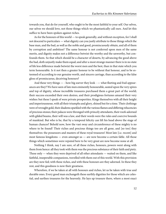towards you, that do for yourself, who ought to be the most faithful to your self. Our selves, our selves we should love, not those things which we phantastically call ours. And let this suffice to have been spoken against riches.

As for the honours of this world — to speak generally, and without exception, for I shall not descend to particulars — what dignity can you justly attribute to those things which the base man, and the bad, as well as the noble and good, promiscuously obtain, and all of them by corruption and ambition? The same honour is not conferred upon men of the same merits, and dignity makes not a difference betwixt the worthy and the unworthy, but confounds them. So that which should be a character of deserts, by advancing the good above the bad, doth unjustly make them equal; and after a most strange manner there is in no state of life less difference made betwixt the worst men and the best, than in that state which you term honourable. Is it not then a greater honour to be without that honour, and to be esteemed of according to our genuine worth, and sincere carriage, than according to the false gloss of promiscuous, deceiving honours?

And these very things — - how big soever they look - — what fleeting and frail appearances are they? We have seen of late men eminently honourable, seated upon the very spires and top of dignity, whose incredible treasures purchased them a great part of the world; their success exceeded their own desires, and their prodigious fortunes amazed their very wishes: but these I speak of were private prosperities. Kings themselves with all their height and imperiousnesse, with all their triumphs and glory, shined but for a time. Their clothings were of wrought gold, their diadems sparkled with the various flames and differing relucencies of precious stones; their palaces were thronged with princely attendants, their roofs adorned with gilded beams, their will was a law, and their words were the rules and coercive bounds of mankind. But who is he, that by a temporal felicity can lift his head above the stage of human chances? Behold now, how the vast sway and circumference of these mighty is no where to be found! Their riches and precious things too are all gone, and [so too] they themselves: the possessors and masters of these royal treasures! Most late [i.e. recent] and most famous kingdoms — even amongst us — are now become a certain fable. All those things which sometimes were reputed here to be very great are now become none at all.

Nothing I think, nay I am sure, of all these riches, honours, powers went along with them from hence: all they took with them was the precious substance of their faith and piety. These only — when they were deprived of all other attendants — waited on them, and like faithful, inseperable companions, travelled with them out of this world. With this provision are they now fed; with these riches, and with these honours are they adorned. In these they rest, and this goodness is now their greatness.

Wherefore, if we be taken at all with honours and riches, let us be taken with true and durable ones. Every good man exchangeth these earthly dignities for those which are celestial, and earthen treasures for the heavenly. He lays up treasure there, where a most exact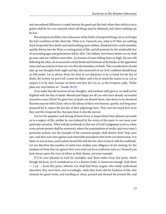and unconfused difference is made betwixt the good and the bad; where that which is once gotten shall be for ever enjoyed; where all things may be obtained, and where nothing can be lost.

But seeing we are fallen into a discourse of the frailty of temporal things, let us not forget the frail condition of this short life. What is it, I beseech you, what is it? Men see nothing more frequently then death, and mind nothing more seldom. Mankind is by a swift mortality quickly driven into the West, or setting point of life, and all posterity by the unalterable law of succeeding ages and generations follow after. Our fathers went hence before us; we shall go next, and our children must after. As streams of water falling from on high, the one still following the other, do in successive circles break and terminate at the banks; so the appointed times and successions of men are cut off at the boundary of death. This consideration should take up our thoughts both night and day; this memorial of our frail condition should keep us still awake. Let us always think the time of our departure to be at hand; for the day of death, the further we put it off, comes the faster, and is by so much the nearer to us. Let us suspect it to be near, because we know not how far! Let us, as the Scripture saith, "Make plain our ways before us". [\[Isaiah 28:25\]](http://www.ccel.org/study/Bible:Isa.28.25)

<span id="page-16-0"></span>If we make this the business of our thoughts, and meditate still upon it, we shall not be frighted with the fear of death. Blessed and happy are all you who have already reconciled yourselves unto Christ! No great fear of death can disturb them, who desire to be dissolved that they may be with Christ; who in the silence of their own bosoms, quietly, and long since prepared for it, expect the last day of their pilgrimage here. They care not much how soon they end this temporal life, that pass from it into life eternal.

Let not the populacy and throng of loose livers or hypocritical time-pleasers persuade us to a neglect of life, neither be you induced by the errors of the many to cast away your particular salvation. What will the multitude in that day of God's judgement avail us, when every private person shall be sentenced, where the examinations of works, and every man's particular actions, not the example of the common people, shall absolve him? Stop your ears, and shut your eyes against such damnable precedents that invite you destruction. It is better to sow in tears, and to plant eternal life with the few, then to lose it with the multitude. Let not therefore the number of sinful men weaken your diligence of not sinning; for the madness of those that sin against their own souls can be no authority unto us. I beseech you look always upon the vices of others as their shame, not your example.

If it be your pleasure to look for examples, seek them rather from that party, which though the least, yet if considered as it is a distinct body, is numerous enough. Seek them — I say — from that party, wherein you shall find those ranged, who wisely understood wherefore they were born, and accordingly, while they lived, did the business of life; who eminent for good works, and excelling in virtue, pruned and dressed the present life, and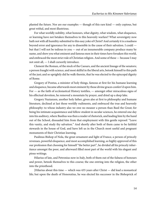planted the future. Nor are our examples — though of this rare kind — only copious, but great withal, and most illustrious.

For what worldly nobility, what honours, what dignity, what wisdom, what eloquence, or learning have not betaken themselves to this heavenly warfare? What sovereignty now hath not with all humility submitted to this easy yoke of Christ? And certainly it is a madness beyond error and ignorance for any to dissemble in the cause of their salvation. I could but that I will not be tedious to you — out of an innumerable company produce many by name, and shew you what eminent and famous men in their times have forsaken this world, and embraced the most strict rule of Christian religion. And some of these — because I may not omit all, — I shall cursorily introduce.

Clement the Roman, of the stock of the Caesars, and the ancient lineage of the senators; a person fraught with science, and most skilful in the liberal arts, betook himself to this path of the just; and so uprightly did he walk therein, that he was elected to the episcopal dignity of Rome.

Gregory of Pontus, a minister of holy things, famous at first for his humane learning and eloquence, became afterwards most eminent by those divine graces conferr'd upon him. For — as the faith of ecclesiastical History testifies, — amongst other miraculous signs of his effectual devotion, he removed a mountain by prayer, and dried up a deep lake.

Gregory Nazianzen, another holy father, given also at first to philosophy and humane literature, declined at last those worldly rudiments, and embraced the true and heavenly philosophy: to whose industry also we owe no meaner a person than Basil the Great; for being his intimate acquaintance and fellow-student in secular sciences, he entered one day into his auditory, where Basilius was then a reader of rhetorick, and leading him by the hand out of the School, dissuaded him from that employment with this gentle reproof: "Leave this vanity, and study thy salvation." And shortly after both of them came to be faithful stewards in the house of God, and have left us in the Church most useful and pregnant monuments of their Christian learning.

Paulinus Bishop of Nola, the great ornament and light of France, a person of princely revenues, powerful eloquence, and most accomplished learning, so highly approved of this our profession that choosing for himself "the better part", he divided all his princely inheritance amongst the poor, and afterward filled most part of the world with his elegant and pious writings.

Hilarius of late, and Petronius now in Italy, both of them out of the fulness of honours and power, betook themselves to this course; the one entring into the religion, the other into the priesthood.

[Hilarius about this time — which was 435 years after Christ — did lead a monastical life; but upon the death of Honoratius, he was elected his successor in the Bishoprick of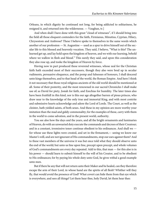Orleans, in which dignity he continued not long, for being addicted to solitariness, he resigned it, and returned into the wildernesse. — Vaughan, tr.]

And when shall I have done with this great "cloud of witnesses", if I should bring into the field all those eloquent contenders for the faith, Firmianus, Minutius, Cyprian, Hilary, Chrysostom and Ambrose? These I believe spoke to themselves in the same words which another of our profession — St. Augustine — used as a spur to drive himself out of the secular life to this blessed and heavenly vocation. They said, I believe, "What is this? The unlearned get up, and lay hold upon the kingdom of heaven, and we with our learning, behold where we wallow in flesh and blood." This surely they said, and upon this consideration they also rose up, and tooke the kingdom of Heaven by force.

Having now in part produced these reverend witnesses, whose zeal for the Christian faith hath exceeded most of their successors, though they also were bred up in secular rudiments, persuasive eloquence, and the pomp and fulnesses of honours, I shall descend unto kings themselves, and to that head of the world, the Roman Empire. And here I think it not necessary that those royal religious ancients of the old world should be mentioned at all. Some of their posterity, and the most renowned in our sacred Chronicles I shall make use of; as David for piety, Josiah for faith, and Ezechias for humility. The later times also have been fruitfull in this kind, nor is this our age altogether barren of pious princes, who draw near to the knowledge of the only true and immortal King, and with most contrite and submissive hearts acknowledge and adore the Lord of Lords. The Court, as well as the cloister, hath yielded saints, of both sexes. And these in my opinion are more worthy your imitation than the mad and giddy commonality; for the examples of these, carry with them in the world to come salvation, and in the present world, authority.

You see also how the days and the years, and all the bright ornaments and luminaries of Heaven, do with an unwearied duty execute the commands and decrees of their Creatour; and in a constant, irremissive tenor continue obedient to his ordinances. And shall we for whose use these lights were created, and set in the firmament,— seeing we know our Master's will, and are not ignorant of His commandments, stop our ears against them? And to these vast members of the universe it was but once told what they should observe unto the end of the world; but unto us line upon line, precept upon precept, and whole volumes of God's commandments are every day repeated. Add to this, that man — for this also is in his power — should learn to submit himself to the will of his Creator, and to be obedient to His ordinances; for by paying his whole duty unto God, he gives withal a good example unto men.

But if there be any that will not return unto their Maker and be healed, can they therefore escape the arm of their Lord, in whose hand are the spirits of all flesh? Whither will they fly, that would avoid the presence of God? What covert can hide them from that eye which is everywhere, and sees all things? Let them hear thee, holy David, let them hear thee: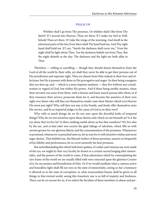#### [PSALM 139](http://www.ccel.org/study/Bible:Ps.139)

<span id="page-19-0"></span>Whither shall I go from Thy presence, Or whither shall I flee from Thy Spirit? If I ascend into Heaven, Thou art there: If I make my bed in Hell, behold Thou art there. If I take the wings of the morning, And dwell in the uttermost parts of the Sea; Even there shall Thy hand lead me, And Thy right hand shall hold me. If I say, "Surely the darkness shall cover me," Even the night shall be light about Thee. Yea the darkness hideth not from Thee, But the night shineth as the day: The darkness and the light are both alike to Thee.

Therefore — willing or unwilling — though they should absent themselves from the Lord of all the world by their wills, yet shall they never be able to get their persons out of His jurisdiction and supreme right. They are absent from Him indeed in their love and affections: but He is present with them in His prerogative and anger. So then being runagates they are shut up, and — which is a most impious madness — they live without any consideration or regard of God, but within His power. And if these being earthly masters, when their servants run away from them, with a furious and hasty search pursue after them; or if they renounce their service, prosecute them for it, and become the asserters of their own right over them; why will they not themselves render unto their Master which is in Heaven His most just right? Why will they not stay in his Family, and freely offer themselves unto His service, and be as impartial judges in the cause of God as in their own?

Why with so much dotage do we fix our eyes upon the deceitful looks of temporal things? Why do we rest ourselves upon those thorns only which we see beneath us? Is it the eye alone that we live by? Is there nothing useful about us but that wanderer? We live also by the ear, and at that inlet wee receive the glad tidings of salvation, which fills us with earnest groans for our glorious liberty and the consummation of the promises. Whatsoever is promised, whatsoever is preached unto us, let us wait for it with intentive wishes and most eager desires. That faithful one, the blessed Author of those promises, assures us frequently of his fidelity and performance; let us covet earnestly his best promises.

But notwithstanding this which hath been spoken, if a sober and virtuous use were made of the eye, we might by that very faculty be drawn to a certain sacred longing after immortality, and the powers of the world to come, if that admiration which by contemplating the rare frame of the world we are usually filled with were returned upon the glorious Creator of it, by our praises and benediction of Him. Or if we would meditate what a copious active and boundless light shall fill our eyes in the state of immortality, seeing so fair a luminary is allowed us in the state of corruption: or what transcendant beauty shall be given to all things in that eternal world, seeing this transitory one is so full of majesty and freshness. There can be no excuse for us, if we solicit the faculties of these members to abuse and per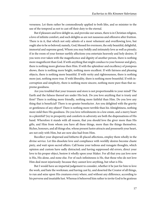verseness. Let them rather be commodiously applied to both lifes, and so minister to the use of the temporal as not to cast off their duty to the eternal.

But if pleasure and love delight us, and provoke our senses, there is in Christian religion, a love of infinite comfort, and such delights as are not nauseous and offensive after fruition. There is in it, that which not only admits of a most vehement and overflowing love, but ought also to be so beloved; namely, God, blessed for evermore, the only beautiful, delightful, immortal and supreme good, Whom you may boldly and intimately love as well as piously; if in the room of your former earthly affections you entertain heavenly and holy desires. If you were ever taken with the magnificence and dignity of another person, there is nothing more magnificent than God. If with anything that might conduce to your honour and glory, there is nothing more glorious then Him. If with the splendour and excellency of pompous shows, there is nothing more bright, nothing more excellent. If with fairness and pleasing objects, there is nothing more beautiful. If with verity and righteousness, there is nothing more just, nothing more true. If with liberality, there is nothing more bountiful. If with incorruption and simplicity, there is nothing more sincere, nothing more pure than that supreme goodness.

Are you troubled that your treasure and store is not proportionable to your mind? The Earth and the fulness thereof are under His lock. Do you love anything that is trusty and firm? There is nothing more friendly, nothing more faithful than Him. Do you love any thing that is beneficial? There is no greater benefactor. Are you delighted with the gravity or gentleness of any object? There is nothing more terrible than his Almightiness, nothing more mild then His goodness. Do you love refreshments in a low estate, and a merry heart in a plentiful? Joy in prosperity and comforts in adversity are both the dispensations of His hand. Wherefore it stands with all reason, that you should love the giver more than His gifts, and Him from whom you have all these things, more than the things themselves. Riches, honours, and all things else, whose present lustre attracts and possesseth your heart, are not only with Him, but are now also had from Him.

Recollect your dispersed and hitherto ill-placed affections, employ them wholly in the divine service. Let this dissolute love and compliance with worldly desires become chaste piety, and wait upon sacred affairs. Call home your tedious and runagate thoughts, which opinion and custom have sadly distracted; and having suppressed old errors, direct your love to his proper object, bestow it wholly upon your Maker. For all that you can love now is His, His alone, and none else. For of such infiniteness is He, that those who do not love Him deal most injuriously: because they cannot love anything, but what is His.

But I would have an impartial judgement to consider, whether it be just for him to love the work, and hate the workman; and having cast by, and deserted the Creator of all things, to run and seize upon His creatures every where, and without any difference, according to his perverse and insatiable lust. Whereas it behooved him rather to invite God to be gratious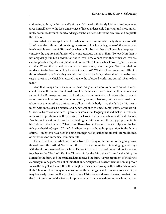and loving to him, by his very affections to His works, if piously laid out. And now man gives himself over to the lusts and service of his own detestable figments, and most unnaturally becomes a lover of the art, and neglects the artificer, adores the creature, and despiseth the Creator.

And what have we spoken all this while of those innumerable delights which are with Him? or of the infinite and ravishing sweetness of His ineffable goodness? the sacred and inexhaustible treasure of His love? or when will it be that they shall be able to express or conceive the dignity and fullness of any one attribute that is in Him? To love Him then is not only delightful, but needful: for not to love Him, Whom even then when we love, we cannot possibly requite, is impious; and not to return Him such acknowledgements as we are able, Whom if we would, we can never recompence, is most unjust: "for what shall we render unto the Lord for all His benefits towards us?" What shall we render unto Him for this one benefit, that He hath given salvation to man by faith, and ordained that to be most easy in the fact, by which He restored hope to the subjected world, and eternal life unto lost man?

And that I may now descend unto those things which were sometimes out of His covenant, I mean the nations and kingdoms of the Gentiles, do you think that these were made subject to the Roman power, and that the dispersed multitude of mankind were incorporated  $-$  as it were  $-$  into one body under one head, for any other end, but that  $-$  as medicines taken in at the mouth are diffused into all parts of the body — so the faith by this means might with more ease be planted and penetrated into the most remote parts of the world. Otherwise by reason of different powers, customs, and languages, it had met with fresh and numerous oppositions, and the passage of the Gospel had been much more difficult. Blessed Paul himself describing his course in planting the faith amongst this very people, writes in his Epistle to the Romans, "That from Hierusalem and round about to Illyricum he had fully preached the Gospel of Christ". And how long — without this preparation for the fulness of time — might this have been in doing, amongst nations either innumerable for multitude, or barbarous for immanity [inhumanity]?

Hence it is that the whole earth now from the rising of the sun unto the going down thereof, from the farthest North, and the frozen sea, breaks forth into singing, and rings with the glorious name of Jesus Christ. Hence it is, that all parts of the world flock and run together to the Word of Life. The Thracian is for the faith, the African for the faith; the Syrian for the faith, and the Spaniard hath received the faith. A great argument of the divine clemency may be gathered out of this, that under Augustus Caesar, when the Roman power was in the height and acme, then the almighty God came down upon the earth and assumed flesh. Therefore that I may now make use of those things, which you are also versed in, it may be clearly proved — if any skilled in your Histories would assert the truth — that from the first foundation of the Roman Empire — which is now one thousand one hundred and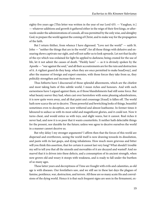eighty five years ago [This letter was written in the year of our Lord 435. — Vaughan, tr.] — whatever additions and growth it gathered either in the reign of their first kings, or afterwards under the administrations of consuls, all was permitted by the only wise, and almighty God, to prepare the world against the coming of Christ, and to make way for the propagation of the faith.

But I return thither, from whence I have digressed. "Love not the world" — saith St. John — "neither the things that are in the world"; for all those things with delusive and ensnaring shews captivate our sight, and will not suffer us to look upwards. Let not that faculty of the eye which was ordained for light be applied to darkness; being created for the use of life, let it not admit the causes of death. "Fleshly lusts" — as it is divinely spoken by the Apostle — "war against the soul," and all their accoutrements are for the ruin and destruction of it. A vigilant guard do they keep, when they are once permitted to make head[way], and after the manner of foreign and expert enemies, with those forces they take from us, they politckly strengthen and increase their own.

Thus hitherto have I discoursed of those splendid allurements, which are the chiefest and most taking baits of this subtile world, I mean riches and honours. And with such earnestness have I argued against them, as if those blandishments had still some force. But what beauty soever they had, when cast over heretofore with some pleasing adumbrations, it is now quite worn away, and all that paint and cousenage [fraud] is fallen off. The world hath now scarce the art to deceive. Those powerful and bewitching looks of things, beautiful sometimes even to deception, are now withered and almost loathsome. In former times it laboured to seduce us with its most solid and magnificent glories, and it could not. Now it turns cheat, and would entice us with toys, and slight wares, but it cannot. Real riches it never had, and now it is so poor that it wants counterfeits. It neither hath delectable things for the present, nor durable for the future; unless wee agree to deceive ourselves the world in a manner cannot deceive us.

But why delay I my stronger arguments? I affirm then that the forces of this world are dispersed and overthrown, seeing the world itself is now drawing towards its dissolution, and pants with its last gasps, and dying inhalations. How much more grievous and bitter will you think this assertion, that for certain it cannot last very long? What should I trouble my self to tell you that all the utensils and moveables of it are decayed and wasted? And no marvel that it is driven into these defects, and a consumption of its ancient strength, when now grown old and weary it stoops with weakness, and is ready to fall under the burthen of so many ages.

These latter years and decrepitness of Time are fraught with evils and calamities, as old age is with diseases. Our forefathers saw, and we still see in these last days the plagues of famine, pestilence, war, destruction, and terrors. All these are so many acute fits and convulsions of the dying world. Hence it is that such frequent signs are seen in the firmament, ex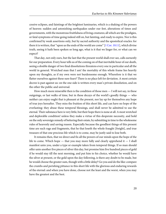<span id="page-23-0"></span>cessive eclipses, and faintings of the brightest luminaries, which is a shaking of the powers of heaven: sudden and astonishing earthquakes under our feet, alterations of times and governments, with the monstrous fruitfulness of living creatures; all which are the prodigies, or fatal symptoms of time going indeed still on, but fainting, and ready to expire. Nor is this confirmed by weak assertions only, but by sacred authority and the apostolical oracles: for there it is written, that "upon us the ends of the world are come" [[1 Cor. 10:11\]](http://www.ccel.org/study/Bible:1Cor.10.11), which divine truth, seeing it hath been spoken so long ago, what is it that we linger for, or what can we expect?

That day, not only ours, but the last that the present world shall ever see, calls earnestly for our preparation. Every hour tells us of the coming on of that inevitable hour of our death, seeing a double danger of two final dissolutions threatens every one in particular and all the world in general. Wretched man that I am! the mortality of this whole frame lies heavily upon my thoughts, as if my own were not burdensome enough. Wherefore is it that we flatter ourselves against these sure fears? There is no place left for deviation. A most certain decree is past against us: on the one side is written every man's private dissolution, and on the other the public and universal.

How much more miserable then is the condition of those men  $-1$  will not say, in these outgoings, or last walks of time, but in these decays of the world's goodly things — who neither can enjoy ought that is pleasant at the present, nor lay up for themselves any hope of true joys hereafter. They miss the fruition of this short life, and can have no hope of the everlasting: they abuse these temporal blessings, and shall never be admitted to use the eternal. Their substance here is very little, but their hope there is none at all. A most wretched and deplorable condition! unless they make a virtue of this desperate necessity, and hold on the only sovereign remedy of bettering their estate, by submitting in time to the wholesome rules of heavenly and saving reason. Especially because the goodliest things of this present time are such rags and fragments, that he that loseth the whole fraught [freight], and true treasure of that one precious life which is to come, may be justly said to lose both.

It remains then, that we direct and fix all the powers of our minds upon the hope of the life to come. Which hope  $-$  that you may more fully and clearly apprehend it  $-$  I shall manifest unto you, under a type or example taken from temporal things. If so man should offer unto another five pieces of silver this day, but promise him five hundred pieces of gold if he would stay till the next morning, and put him to his choice, whether he would have the silver at present, or the gold upon the day following, is there any doubt to be made, but he would choose the greater sum, though with a little delay? Go you and do the like: compare the crumbs and perishing pittance in this short life with the glorious and enduring rewards of the eternal: and when you have done, choose not the least and the worst, when you may have the greatest and the best.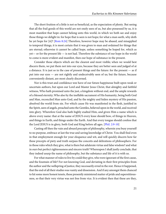<span id="page-24-0"></span>The short fruition of a little is not so beneficial, as the expectation of plenty. But seeing that all the frail goods of this world are not onely seen of us, but also possessed by us, it is most manifest that hope cannot belong unto this world, in which we both see and enjoy those things we delight in: for hope that is seen is not hope; for what a man seeth, why doth he yet hope for [it]? [\[Rom 8:24](http://www.ccel.org/study/Bible:Rom.8.24)] Therefore, however hope may be abased, and misapplied to temporal things, it is most certain that it was given to man and ordained for things that are eternal; otherwise it cannot be called hope, unless something be hoped for, which as yet— or for the present life — is not had. Therefore the substance of our hope in the world to come is more evident and manifest, then our hope of substance in the present.

Consider those objects which are the clearest and most visible; when we would best discern them, we put them not into our eyes, because they are better seen and judged of at a distance. It is just so in the case of present things and the future: for the present — as if put into our eyes — are not rightly and undeceivably seen of us; but the future, because conveniently distant, are most clearly discerned.

Nor is this trust and confidence wee have of our future happinesse built upon weak or uncertain authors, but upon our Lord and Master Jesus Christ, that almighty and faithful witness, Who hath promised unto the just, a kingdom without end, and the ample rewards of a blessed eternity; Who also by the ineffable sacrament of His humanity, being both God and Man, reconciled Man unto God, and by the mighty and hiden mystery of His passion, absolved the world from sin. For which cause He was manifested in the flesh, justified in the Spirit, seen of angels, preached unto the Gentiles, believed upon in the world, and received into glory. Wherefore God also hath highly exalted Him, and given Him a name which is above every name: that at the name of JESUS every knee should bow, of things in Heaven, and things in Earth, and things under the Earth. And that every tongue should confess that the Lord JESUS is in glory, both God and King before all ages. [\[Phil. 2:9-10\]](http://www.ccel.org/study/Bible:Phil.2.9-Phil.2.10)

<span id="page-24-1"></span>Casting off then the vain and absurd precepts of philosophy, wherein you busy yourself to no purpose, embrace at last the true and saving knowledge of Christ. You shall find even in that employment enough for your eloquence and wit, and will quickly discern how far these precepts of piety and truth surpass the conceits and delirations of philosophers. For in those rules which they give, what is there but adulerate virtue and false wisdom? and what in ours but perfect righteousness and sincere truth? Whereupon I shall justly conclude, that they indeed usurp the name of philosophy, but the substance and life of it is with us.

For what manner of rules to live by could they give, who were ignorant of the first cause, and the fountain of life? For not knowing God, and deviating in their first principles from the author and the wellspring of justice, they necessarily erred in the rest. Hence it happened, that the end of all their studies was vanity and dissension. And if any amongst them chanced to hit some more honest tenets, these presently ministered matter of pride and superstitiousness, so that their very virtue was not free from vice. It is evident then that these are they,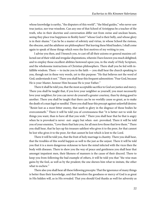whose knowledge is earthy, "the disputers of this world", "the blind guides," who never saw true justice, nor true wisedom. Can any one of that School of Aristippus be a teacher of the truth, who in their doctrine and conversation differ not from swine and unclean beasts, seeing they place true happiness in fleshly lusts? "whose God is their belly, and whose glory is in their shame." Can he be a master of sobriety and virtue, in whose School the riotous, the obscene, and the adulterer are philosophers? But leaving these blind leaders, I shall come again to speak of those things which were the first motives of my writing to you.

I advise you then, and I beseech you, to cast off all their axioms or general maxims collected out of their wild and irregular disputations, wherein I have known you much delighted; and to employ those excellent abilities bestowed upon you, in the study of Holy Scripture, and the wholesome instructions of Christian philosophers. There shall you be fed with infallible wisdom. There  $-$  to incite you to the faith  $-$  you shall hear the church speaking to you, though not in these very words, yet to this purpose: "He that believes not the word of God, understands it not." There you shall hear this frequent admonition: "Fear God, because He is your Master, honour Him because He is your Father."

There it shall be told you, that the most acceptable sacrifice to God are justice and mercy. There you shall be taught that, if you love your neighbor as yourself, you must necessarily love your neighbor; for you can never do yourself a greater courtesy, than by doing good to another. There you shall be taught that there can be no worldly cause so great, as to make the death of a man legal or needful. There you shall hear this precept against unlawfull desires: "Resist lust as a most bitter enemy, that useth to glory in the disgrace of those bodies he overcommeth." There it will be told you of covetousness that "it is better not to wish for things you want, than to have all that you wish." There you shall hear that he that is angry when he is provoked is never -not- angry but when -not- provoked. There it will be told you of your enemies, "Love them that hate you, for all men love those that love them." There you shall hear, that he lays up his treasure safeliest who gives it to the poor, for that cannot be lost who gives it to the poor, for that cannot be lost which is lent to the Lord.

There it will be told you, that the fruit of holy marriage is chastity. There you shall hear, that the troubles of this world happen as well to the just as the unjust. There it will be told you that it is a more dangerous sicknesse to have the mind infected with the vices then the body with diseases. There to shew you the way of peace and gentleness you shall hear that amongst impatient men, their likeness of manners is the cause of their discord. There to keep you from following the bad example of others, it will be told you that "the wise man gains by the fool, as well as by the prudent; the one shewes him what to imitate, the other what to eschew."

There also you shall hear all these following precepts: That the ignorance of many things is better than their knowledge, and that therefore the goodness or mercy of God is as great in His hidden will, as in His revealed. That you should God thanks as well for adversity as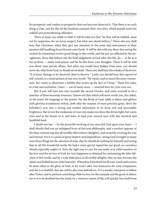for prosperity; and confess in prosperity that you have not deserved it. That there is no such thing as Fate, and for this let the heathens examine their own laws, which punish none but willfull and premeditating offenders.

There to keep you stable in faith it will be told you that "he that will be faithful, must not be suspicious; for we never suspect, but what wee slowly believe." There also you shall hear that Christians when they give any attention to the noise and enticements of their passions fall headlong from Heaven unto Earth. It will be also told you there that seeing the wicked do sometimes receive good things in this world, and the just are afflicted by the unrighteous, those that believe not the final judgement of God after this life, do — as far as it lies in them — make God unjust, and far be this from your thoughts. There it will be told you about your private affairs, that what you would have hidden from men, you should never do, what from God, ye should never think. There you shall hear this rebuke of deceivers: "It is lesser damage to be deceived, than to deceive." Lastly you should hear this reproof of self-conceit, or a fond opinion of our own worth: "Fly vanity, and so much the more viciousness, but vanity is oftentimes a bubble that swims up the face of Virtue." These few rules, as a tast and invitation, I have — out of many more — inserted here for your own use.

But if you will turn you eyes towards the sacred Oracles, and come yourself to be a searcher of those heavenly treasures, I know not that which will most ravish you, the casket, or the jewel, the language or the matter. For the Book of God, while it shines and glitters with glorious irradiations within, doth after the manner of most precious gems, drive the beholder's eyes into a strong and restless admiration of its most rich and inscrutable brightness. But let not the weaknesse of your eyes make you shun this divine light, but warm your soul at the beams of it, and learn to feed your inward man with this mystical and healthful food.

I doubt not but — by the powerful working of our merciful God upon your heart — I shall shortly find you an unfeigned lover of this true philosophy, and a resolute opposer of the false; renouncing also all worldly oblectations [delights], and earnestly coveting the true and eternal. For it is a point of great impiety and imprudence, seeing God wrought so many marvelous things for the salvation of man, that he should do nothing for himself: and seeing that in all His wonderful works He had a most special regard for our good, we ourselves should especially neglect it. Now the right way to care for our souls, is to yield ourselves to the love and the service of God: for true happiness is obtained by contemning the false felicities of this world, and by a wise abdication of all earthly delights, that we may become the chaste and faithful lovers of the heavenly. Wherefore henceforth let all your words and actions be done either to the glory of God, or for God's sake. Get Innocence for your companion, and she is so faithful, that she will be also your defendress. It is a worthy enterprise to follow after Virtue, and to perform something while we live, for the example and the good of others: nor is it to be doubted but the mind, by a virtuous course of life, will quickly free itself from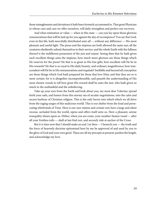those intanglements and deviations it hath been formerly accustomed to. That great Physician to whose cure and care we offer ourselves, will daily strengthen and perfect our recovery.

And what estimation or value — when in this state — can you lay upon those glorious remunerations that will be laid up for you against the day of recompence? You see that God, even in this life, hath mercifully distributed unto all — without any difference — His most pleasant and useful light. The pious and the impious are both allowed the same sun; all the creatures obediently submit themselves to their service: and the whole Earth with the fullness thereof is the indifferent possession of the just and unjust. Seeing then that he hath given such excellent things unto the impious, how much more glorious are those things which He reserves for the pious? He that is so great in His free gifts, how excellent will He be in His rewards? He that is so royal in His daily bounty, and ordinary magnificence; how transcendent will He be in His remunerations and requitals? Ineffable and beyond all conception are those things which God hath prepared for those that love Him; and that they are so is most certain: for it is altogether incomprehensible, and passeth the understanding of His most chosen vessels to tell how great His reward shall be unto the just, who hath given so much to the unthankful and the unbelieving.

Take up your eyes from the Earth and look about you, my most dear Valerian; spread forth your sails, and hasten from this stormy sea of secular negotiations, into the calm and secure harbour of Christian religion. This is the only haven into which which we all drive from the raging surges of this malicious world. This is our shelter from the loud and persecuting whirlwinds of Time. Here is our sure station and certain rest; here a large and silent recesse, secluded from the world, opens and offers itself unto us. Here a pleasant, serene tranquility shines upon us. Hither, when you are come, your weather-beaten vessel — after all your fruitless toils — shall at last find rest, and securely ride at anchor of the Cross.

But it is time now that I should make an end. Let then — I beseech you — the truth and the force of heavenly doctrine epitomised here by me be approved of and used by you to the glory of God and your own good. These are all my precepts at present: pardon the length, and acknowledge my love.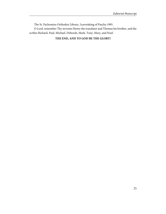The St. Pachomius Orthodox Library, Leavetaking of Pascha 1995.

<span id="page-28-0"></span>O Lord, remember Thy servants Henry the translator and Thomas his brother, and the scribes Richard, Paul, Michael, Deborah, Mark, Tony, Mary, and Noel.

**THE END, AND TO GOD BE THE GLORY!**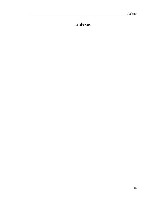# <span id="page-29-0"></span>**Indexes**